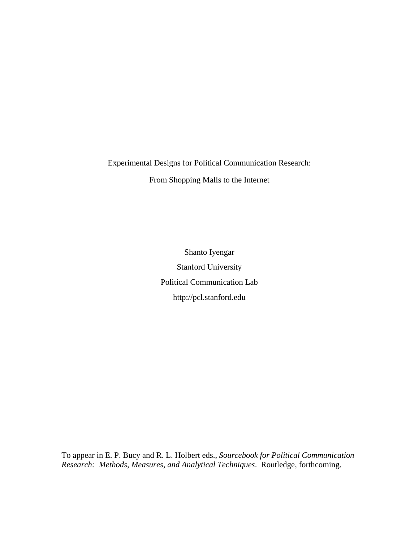Experimental Designs for Political Communication Research: From Shopping Malls to the Internet

> Shanto Iyengar Stanford University Political Communication Lab http://pcl.stanford.edu

To appear in E. P. Bucy and R. L. Holbert eds., *Sourcebook for Political Communication Research: Methods, Measures, and Analytical Techniques*. Routledge, forthcoming.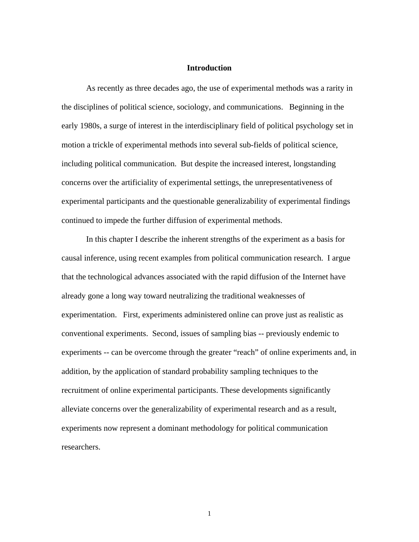## **Introduction**

As recently as three decades ago, the use of experimental methods was a rarity in the disciplines of political science, sociology, and communications. Beginning in the early 1980s, a surge of interest in the interdisciplinary field of political psychology set in motion a trickle of experimental methods into several sub-fields of political science, including political communication. But despite the increased interest, longstanding concerns over the artificiality of experimental settings, the unrepresentativeness of experimental participants and the questionable generalizability of experimental findings continued to impede the further diffusion of experimental methods.

In this chapter I describe the inherent strengths of the experiment as a basis for causal inference, using recent examples from political communication research. I argue that the technological advances associated with the rapid diffusion of the Internet have already gone a long way toward neutralizing the traditional weaknesses of experimentation. First, experiments administered online can prove just as realistic as conventional experiments. Second, issues of sampling bias -- previously endemic to experiments -- can be overcome through the greater "reach" of online experiments and, in addition, by the application of standard probability sampling techniques to the recruitment of online experimental participants. These developments significantly alleviate concerns over the generalizability of experimental research and as a result, experiments now represent a dominant methodology for political communication researchers.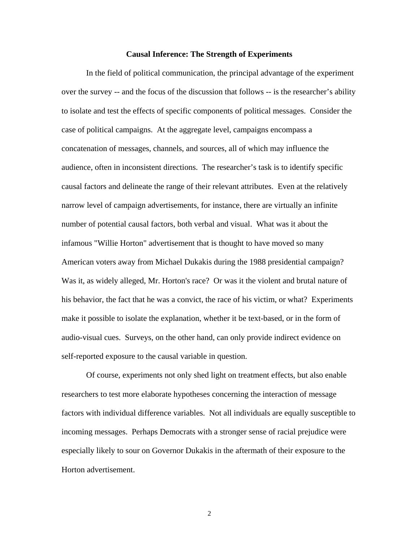### **Causal Inference: The Strength of Experiments**

In the field of political communication, the principal advantage of the experiment over the survey -- and the focus of the discussion that follows -- is the researcher's ability to isolate and test the effects of specific components of political messages. Consider the case of political campaigns. At the aggregate level, campaigns encompass a concatenation of messages, channels, and sources, all of which may influence the audience, often in inconsistent directions. The researcher's task is to identify specific causal factors and delineate the range of their relevant attributes. Even at the relatively narrow level of campaign advertisements, for instance, there are virtually an infinite number of potential causal factors, both verbal and visual. What was it about the infamous "Willie Horton" advertisement that is thought to have moved so many American voters away from Michael Dukakis during the 1988 presidential campaign? Was it, as widely alleged, Mr. Horton's race? Or was it the violent and brutal nature of his behavior, the fact that he was a convict, the race of his victim, or what? Experiments make it possible to isolate the explanation, whether it be text-based, or in the form of audio-visual cues. Surveys, on the other hand, can only provide indirect evidence on self-reported exposure to the causal variable in question.

Of course, experiments not only shed light on treatment effects, but also enable researchers to test more elaborate hypotheses concerning the interaction of message factors with individual difference variables. Not all individuals are equally susceptible to incoming messages. Perhaps Democrats with a stronger sense of racial prejudice were especially likely to sour on Governor Dukakis in the aftermath of their exposure to the Horton advertisement.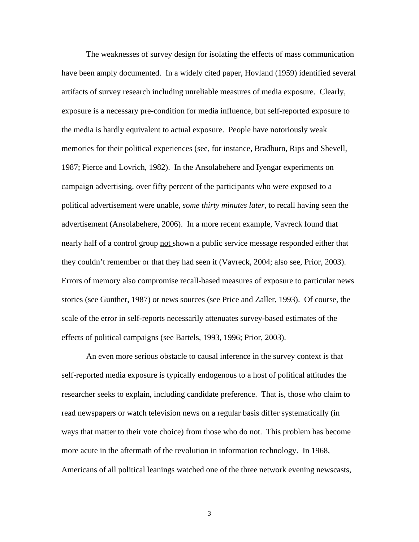The weaknesses of survey design for isolating the effects of mass communication have been amply documented. In a widely cited paper, Hovland (1959) identified several artifacts of survey research including unreliable measures of media exposure. Clearly, exposure is a necessary pre-condition for media influence, but self-reported exposure to the media is hardly equivalent to actual exposure. People have notoriously weak memories for their political experiences (see, for instance, Bradburn, Rips and Shevell, 1987; Pierce and Lovrich, 1982). In the Ansolabehere and Iyengar experiments on campaign advertising, over fifty percent of the participants who were exposed to a political advertisement were unable, *some thirty minutes later*, to recall having seen the advertisement (Ansolabehere, 2006). In a more recent example, Vavreck found that nearly half of a control group not shown a public service message responded either that they couldn't remember or that they had seen it (Vavreck, 2004; also see, Prior, 2003). Errors of memory also compromise recall-based measures of exposure to particular news stories (see Gunther, 1987) or news sources (see Price and Zaller, 1993). Of course, the scale of the error in self-reports necessarily attenuates survey-based estimates of the effects of political campaigns (see Bartels, 1993, 1996; Prior, 2003).

An even more serious obstacle to causal inference in the survey context is that self-reported media exposure is typically endogenous to a host of political attitudes the researcher seeks to explain, including candidate preference. That is, those who claim to read newspapers or watch television news on a regular basis differ systematically (in ways that matter to their vote choice) from those who do not. This problem has become more acute in the aftermath of the revolution in information technology. In 1968, Americans of all political leanings watched one of the three network evening newscasts,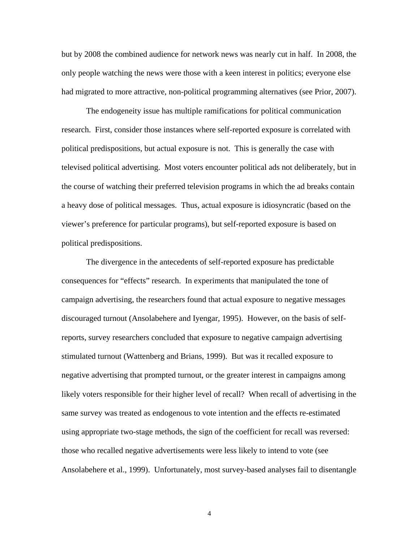but by 2008 the combined audience for network news was nearly cut in half. In 2008, the only people watching the news were those with a keen interest in politics; everyone else had migrated to more attractive, non-political programming alternatives (see Prior, 2007).

The endogeneity issue has multiple ramifications for political communication research. First, consider those instances where self-reported exposure is correlated with political predispositions, but actual exposure is not. This is generally the case with televised political advertising. Most voters encounter political ads not deliberately, but in the course of watching their preferred television programs in which the ad breaks contain a heavy dose of political messages. Thus, actual exposure is idiosyncratic (based on the viewer's preference for particular programs), but self-reported exposure is based on political predispositions.

The divergence in the antecedents of self-reported exposure has predictable consequences for "effects" research. In experiments that manipulated the tone of campaign advertising, the researchers found that actual exposure to negative messages discouraged turnout (Ansolabehere and Iyengar, 1995). However, on the basis of selfreports, survey researchers concluded that exposure to negative campaign advertising stimulated turnout (Wattenberg and Brians, 1999). But was it recalled exposure to negative advertising that prompted turnout, or the greater interest in campaigns among likely voters responsible for their higher level of recall? When recall of advertising in the same survey was treated as endogenous to vote intention and the effects re-estimated using appropriate two-stage methods, the sign of the coefficient for recall was reversed: those who recalled negative advertisements were less likely to intend to vote (see Ansolabehere et al., 1999). Unfortunately, most survey-based analyses fail to disentangle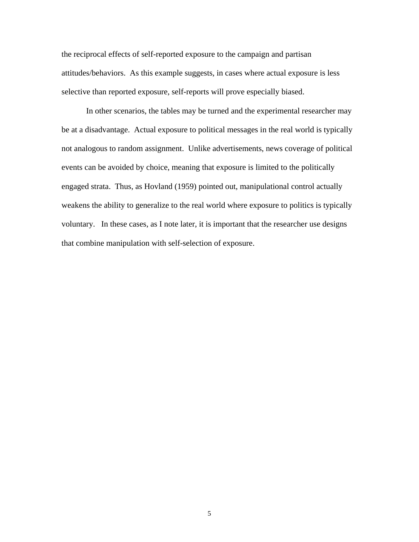the reciprocal effects of self-reported exposure to the campaign and partisan attitudes/behaviors. As this example suggests, in cases where actual exposure is less selective than reported exposure, self-reports will prove especially biased.

In other scenarios, the tables may be turned and the experimental researcher may be at a disadvantage. Actual exposure to political messages in the real world is typically not analogous to random assignment. Unlike advertisements, news coverage of political events can be avoided by choice, meaning that exposure is limited to the politically engaged strata. Thus, as Hovland (1959) pointed out, manipulational control actually weakens the ability to generalize to the real world where exposure to politics is typically voluntary. In these cases, as I note later, it is important that the researcher use designs that combine manipulation with self-selection of exposure.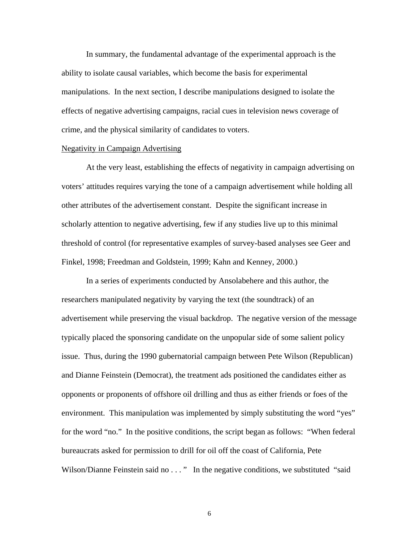In summary, the fundamental advantage of the experimental approach is the ability to isolate causal variables, which become the basis for experimental manipulations. In the next section, I describe manipulations designed to isolate the effects of negative advertising campaigns, racial cues in television news coverage of crime, and the physical similarity of candidates to voters.

### Negativity in Campaign Advertising

At the very least, establishing the effects of negativity in campaign advertising on voters' attitudes requires varying the tone of a campaign advertisement while holding all other attributes of the advertisement constant. Despite the significant increase in scholarly attention to negative advertising, few if any studies live up to this minimal threshold of control (for representative examples of survey-based analyses see Geer and Finkel, 1998; Freedman and Goldstein, 1999; Kahn and Kenney, 2000.)

In a series of experiments conducted by Ansolabehere and this author, the researchers manipulated negativity by varying the text (the soundtrack) of an advertisement while preserving the visual backdrop. The negative version of the message typically placed the sponsoring candidate on the unpopular side of some salient policy issue. Thus, during the 1990 gubernatorial campaign between Pete Wilson (Republican) and Dianne Feinstein (Democrat), the treatment ads positioned the candidates either as opponents or proponents of offshore oil drilling and thus as either friends or foes of the environment. This manipulation was implemented by simply substituting the word "yes" for the word "no." In the positive conditions, the script began as follows: "When federal bureaucrats asked for permission to drill for oil off the coast of California, Pete Wilson/Dianne Feinstein said no . . . " In the negative conditions, we substituted "said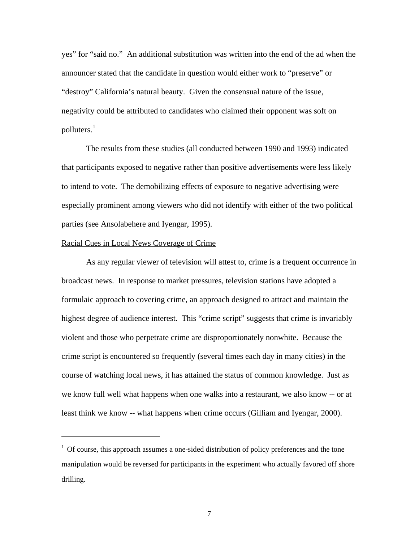yes" for "said no." An additional substitution was written into the end of the ad when the announcer stated that the candidate in question would either work to "preserve" or "destroy" California's natural beauty. Given the consensual nature of the issue, negativity could be attributed to candidates who claimed their opponent was soft on polluters. $1$ 

The results from these studies (all conducted between 1990 and 1993) indicated that participants exposed to negative rather than positive advertisements were less likely to intend to vote. The demobilizing effects of exposure to negative advertising were especially prominent among viewers who did not identify with either of the two political parties (see Ansolabehere and Iyengar, 1995).

#### Racial Cues in Local News Coverage of Crime

 $\overline{\phantom{a}}$ 

As any regular viewer of television will attest to, crime is a frequent occurrence in broadcast news. In response to market pressures, television stations have adopted a formulaic approach to covering crime, an approach designed to attract and maintain the highest degree of audience interest. This "crime script" suggests that crime is invariably violent and those who perpetrate crime are disproportionately nonwhite. Because the crime script is encountered so frequently (several times each day in many cities) in the course of watching local news, it has attained the status of common knowledge. Just as we know full well what happens when one walks into a restaurant, we also know -- or at least think we know -- what happens when crime occurs (Gilliam and Iyengar, 2000).

<span id="page-7-0"></span> $1$  Of course, this approach assumes a one-sided distribution of policy preferences and the tone manipulation would be reversed for participants in the experiment who actually favored off shore drilling.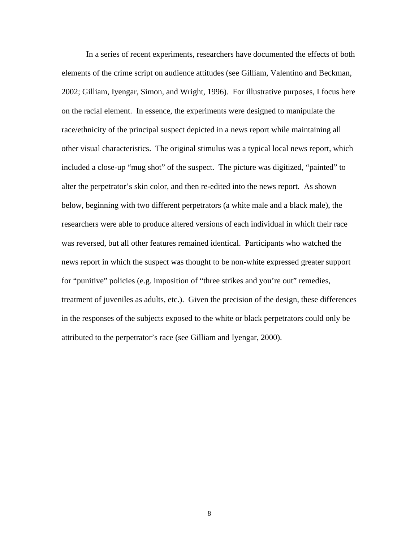In a series of recent experiments, researchers have documented the effects of both elements of the crime script on audience attitudes (see Gilliam, Valentino and Beckman, 2002; Gilliam, Iyengar, Simon, and Wright, 1996). For illustrative purposes, I focus here on the racial element. In essence, the experiments were designed to manipulate the race/ethnicity of the principal suspect depicted in a news report while maintaining all other visual characteristics. The original stimulus was a typical local news report, which included a close-up "mug shot" of the suspect. The picture was digitized, "painted" to alter the perpetrator's skin color, and then re-edited into the news report. As shown below, beginning with two different perpetrators (a white male and a black male), the researchers were able to produce altered versions of each individual in which their race was reversed, but all other features remained identical. Participants who watched the news report in which the suspect was thought to be non-white expressed greater support for "punitive" policies (e.g. imposition of "three strikes and you're out" remedies, treatment of juveniles as adults, etc.). Given the precision of the design, these differences in the responses of the subjects exposed to the white or black perpetrators could only be attributed to the perpetrator's race (see Gilliam and Iyengar, 2000).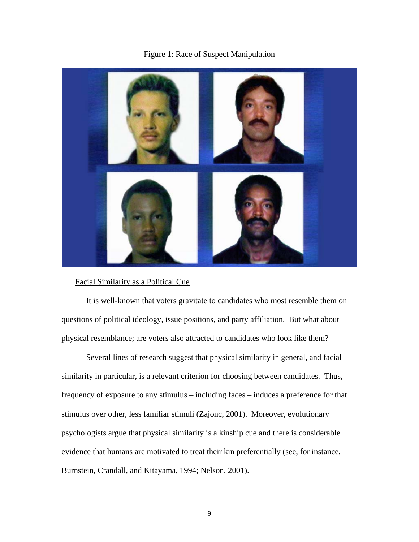



## Facial Similarity as a Political Cue

It is well-known that voters gravitate to candidates who most resemble them on questions of political ideology, issue positions, and party affiliation. But what about physical resemblance; are voters also attracted to candidates who look like them?

Several lines of research suggest that physical similarity in general, and facial similarity in particular, is a relevant criterion for choosing between candidates. Thus, frequency of exposure to any stimulus – including faces – induces a preference for that stimulus over other, less familiar stimuli (Zajonc, 2001). Moreover, evolutionary psychologists argue that physical similarity is a kinship cue and there is considerable evidence that humans are motivated to treat their kin preferentially (see, for instance, Burnstein, Crandall, and Kitayama, 1994; Nelson, 2001).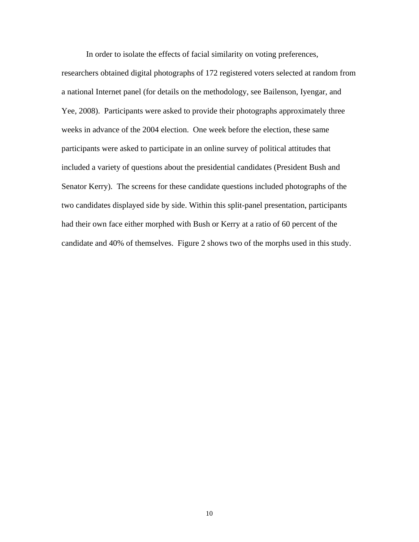In order to isolate the effects of facial similarity on voting preferences,

researchers obtained digital photographs of 172 registered voters selected at random from a national Internet panel (for details on the methodology, see Bailenson, Iyengar, and Yee, 2008). Participants were asked to provide their photographs approximately three weeks in advance of the 2004 election. One week before the election, these same participants were asked to participate in an online survey of political attitudes that included a variety of questions about the presidential candidates (President Bush and Senator Kerry). The screens for these candidate questions included photographs of the two candidates displayed side by side. Within this split-panel presentation, participants had their own face either morphed with Bush or Kerry at a ratio of 60 percent of the candidate and 40% of themselves. Figure 2 shows two of the morphs used in this study.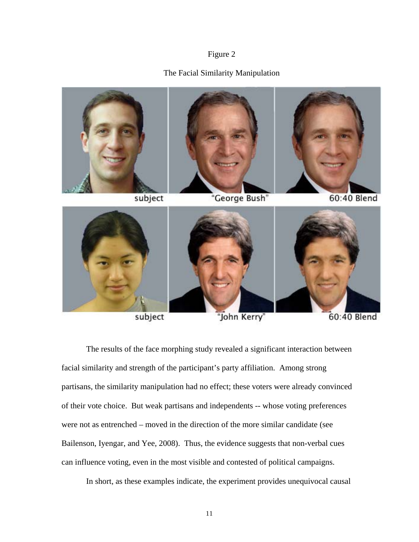# Figure 2

# The Facial Similarity Manipulation



subject

"John Kerry"

60:40 Blend

The results of the face morphing study revealed a significant interaction between facial similarity and strength of the participant's party affiliation. Among strong partisans, the similarity manipulation had no effect; these voters were already convinced of their vote choice. But weak partisans and independents -- whose voting preferences were not as entrenched – moved in the direction of the more similar candidate (see Bailenson, Iyengar, and Yee, 2008). Thus, the evidence suggests that non-verbal cues can influence voting, even in the most visible and contested of political campaigns.

In short, as these examples indicate, the experiment provides unequivocal causal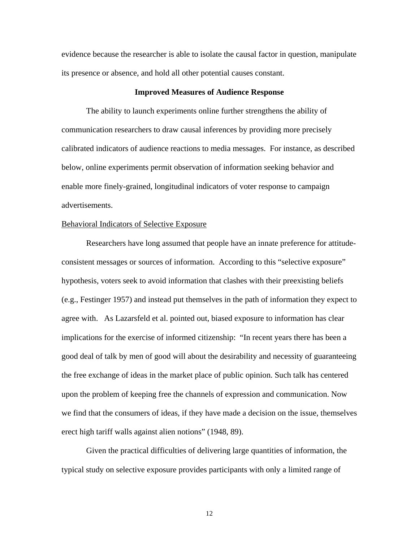evidence because the researcher is able to isolate the causal factor in question, manipulate its presence or absence, and hold all other potential causes constant.

## **Improved Measures of Audience Response**

The ability to launch experiments online further strengthens the ability of communication researchers to draw causal inferences by providing more precisely calibrated indicators of audience reactions to media messages. For instance, as described below, online experiments permit observation of information seeking behavior and enable more finely-grained, longitudinal indicators of voter response to campaign advertisements.

### Behavioral Indicators of Selective Exposure

Researchers have long assumed that people have an innate preference for attitudeconsistent messages or sources of information. According to this "selective exposure" hypothesis, voters seek to avoid information that clashes with their preexisting beliefs (e.g., Festinger 1957) and instead put themselves in the path of information they expect to agree with. As Lazarsfeld et al. pointed out, biased exposure to information has clear implications for the exercise of informed citizenship: "In recent years there has been a good deal of talk by men of good will about the desirability and necessity of guaranteeing the free exchange of ideas in the market place of public opinion. Such talk has centered upon the problem of keeping free the channels of expression and communication. Now we find that the consumers of ideas, if they have made a decision on the issue, themselves erect high tariff walls against alien notions" (1948, 89).

Given the practical difficulties of delivering large quantities of information, the typical study on selective exposure provides participants with only a limited range of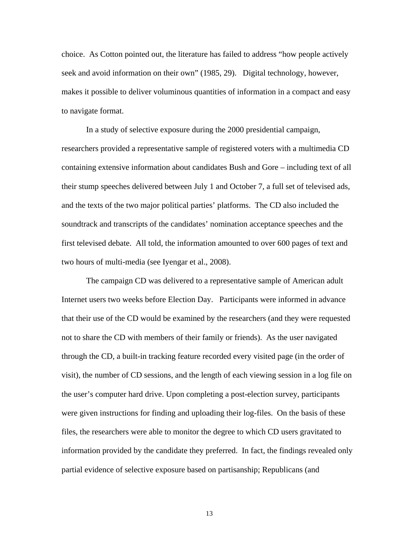choice. As Cotton pointed out, the literature has failed to address "how people actively seek and avoid information on their own" (1985, 29). Digital technology, however, makes it possible to deliver voluminous quantities of information in a compact and easy to navigate format.

In a study of selective exposure during the 2000 presidential campaign, researchers provided a representative sample of registered voters with a multimedia CD containing extensive information about candidates Bush and Gore – including text of all their stump speeches delivered between July 1 and October 7, a full set of televised ads, and the texts of the two major political parties' platforms. The CD also included the soundtrack and transcripts of the candidates' nomination acceptance speeches and the first televised debate. All told, the information amounted to over 600 pages of text and two hours of multi-media (see Iyengar et al., 2008).

The campaign CD was delivered to a representative sample of American adult Internet users two weeks before Election Day. Participants were informed in advance that their use of the CD would be examined by the researchers (and they were requested not to share the CD with members of their family or friends). As the user navigated through the CD, a built-in tracking feature recorded every visited page (in the order of visit), the number of CD sessions, and the length of each viewing session in a log file on the user's computer hard drive. Upon completing a post-election survey, participants were given instructions for finding and uploading their log-files. On the basis of these files, the researchers were able to monitor the degree to which CD users gravitated to information provided by the candidate they preferred. In fact, the findings revealed only partial evidence of selective exposure based on partisanship; Republicans (and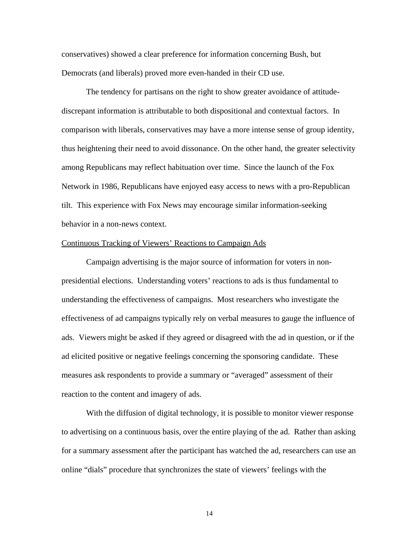conservatives) showed a clear preference for information concerning Bush, but Democrats (and liberals) proved more even-handed in their CD use.

The tendency for partisans on the right to show greater avoidance of attitudediscrepant information is attributable to both dispositional and contextual factors. In comparison with liberals, conservatives may have a more intense sense of group identity, thus heightening their need to avoid dissonance. On the other hand, the greater selectivity among Republicans may reflect habituation over time. Since the launch of the Fox Network in 1986, Republicans have enjoyed easy access to news with a pro-Republican tilt. This experience with Fox News may encourage similar information-seeking behavior in a non-news context.

### Continuous Tracking of Viewers' Reactions to Campaign Ads

Campaign advertising is the major source of information for voters in nonpresidential elections. Understanding voters' reactions to ads is thus fundamental to understanding the effectiveness of campaigns. Most researchers who investigate the effectiveness of ad campaigns typically rely on verbal measures to gauge the influence of ads. Viewers might be asked if they agreed or disagreed with the ad in question, or if the ad elicited positive or negative feelings concerning the sponsoring candidate. These measures ask respondents to provide a summary or "averaged" assessment of their reaction to the content and imagery of ads.

With the diffusion of digital technology, it is possible to monitor viewer response to advertising on a continuous basis, over the entire playing of the ad. Rather than asking for a summary assessment after the participant has watched the ad, researchers can use an online "dials" procedure that synchronizes the state of viewers' feelings with the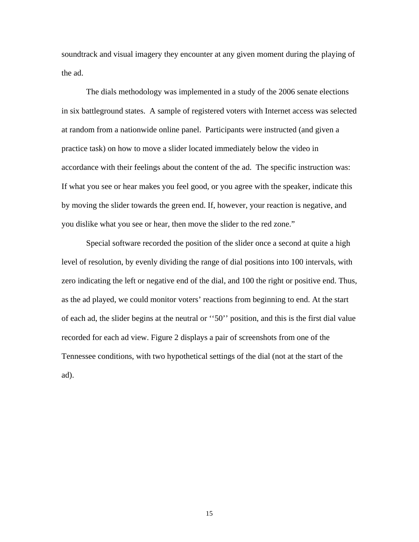soundtrack and visual imagery they encounter at any given moment during the playing of the ad.

The dials methodology was implemented in a study of the 2006 senate elections in six battleground states. A sample of registered voters with Internet access was selected at random from a nationwide online panel. Participants were instructed (and given a practice task) on how to move a slider located immediately below the video in accordance with their feelings about the content of the ad. The specific instruction was: If what you see or hear makes you feel good, or you agree with the speaker, indicate this by moving the slider towards the green end. If, however, your reaction is negative, and you dislike what you see or hear, then move the slider to the red zone."

Special software recorded the position of the slider once a second at quite a high level of resolution, by evenly dividing the range of dial positions into 100 intervals, with zero indicating the left or negative end of the dial, and 100 the right or positive end. Thus, as the ad played, we could monitor voters' reactions from beginning to end. At the start of each ad, the slider begins at the neutral or ''50'' position, and this is the first dial value recorded for each ad view. Figure 2 displays a pair of screenshots from one of the Tennessee conditions, with two hypothetical settings of the dial (not at the start of the ad).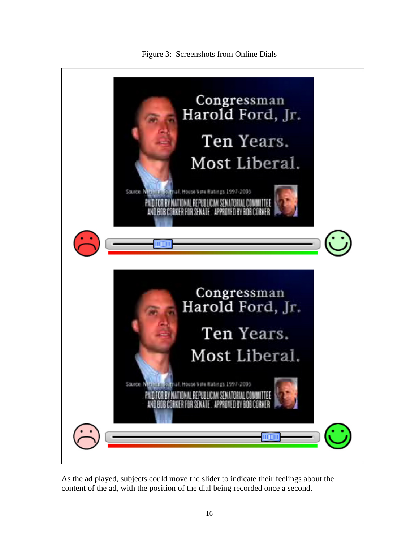

Figure 3: Screenshots from Online Dials

As the ad played, subjects could move the slider to indicate their feelings about the content of the ad, with the position of the dial being recorded once a second.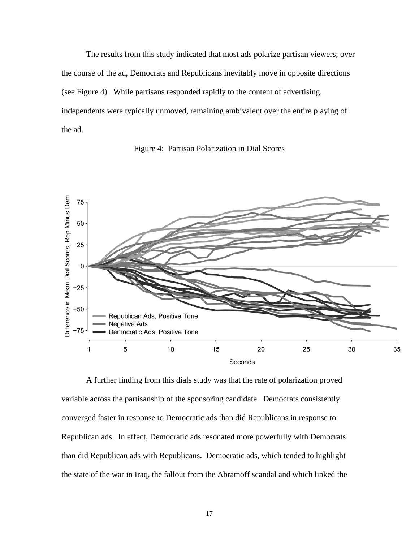The results from this study indicated that most ads polarize partisan viewers; over the course of the ad, Democrats and Republicans inevitably move in opposite directions (see Figure 4). While partisans responded rapidly to the content of advertising, independents were typically unmoved, remaining ambivalent over the entire playing of the ad.





A further finding from this dials study was that the rate of polarization proved variable across the partisanship of the sponsoring candidate. Democrats consistently converged faster in response to Democratic ads than did Republicans in response to Republican ads. In effect, Democratic ads resonated more powerfully with Democrats than did Republican ads with Republicans. Democratic ads, which tended to highlight the state of the war in Iraq, the fallout from the Abramoff scandal and which linked the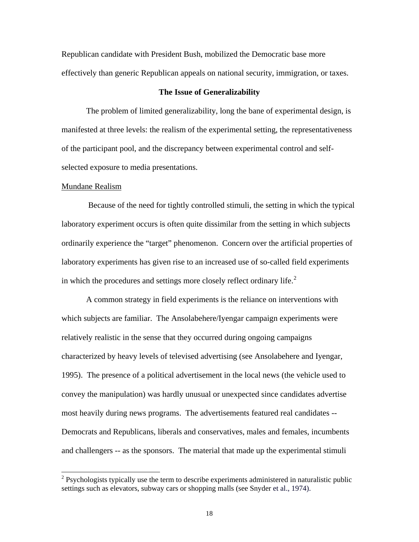Republican candidate with President Bush, mobilized the Democratic base more effectively than generic Republican appeals on national security, immigration, or taxes.

## **The Issue of Generalizability**

The problem of limited generalizability, long the bane of experimental design, is manifested at three levels: the realism of the experimental setting, the representativeness of the participant pool, and the discrepancy between experimental control and selfselected exposure to media presentations.

#### Mundane Realism

 $\overline{\phantom{a}}$ 

 Because of the need for tightly controlled stimuli, the setting in which the typical laboratory experiment occurs is often quite dissimilar from the setting in which subjects ordinarily experience the "target" phenomenon. Concern over the artificial properties of laboratory experiments has given rise to an increased use of so-called field experiments in which the procedures and settings more closely reflect ordinary life.<sup>[2](#page-18-0)</sup>

A common strategy in field experiments is the reliance on interventions with which subjects are familiar. The Ansolabehere/Iyengar campaign experiments were relatively realistic in the sense that they occurred during ongoing campaigns characterized by heavy levels of televised advertising (see Ansolabehere and Iyengar, 1995). The presence of a political advertisement in the local news (the vehicle used to convey the manipulation) was hardly unusual or unexpected since candidates advertise most heavily during news programs. The advertisements featured real candidates -- Democrats and Republicans, liberals and conservatives, males and females, incumbents and challengers -- as the sponsors. The material that made up the experimental stimuli

<span id="page-18-0"></span> $2$  Psychologists typically use the term to describe experiments administered in naturalistic public settings such as elevators, subway cars or shopping malls (see Snyder et al., 1974).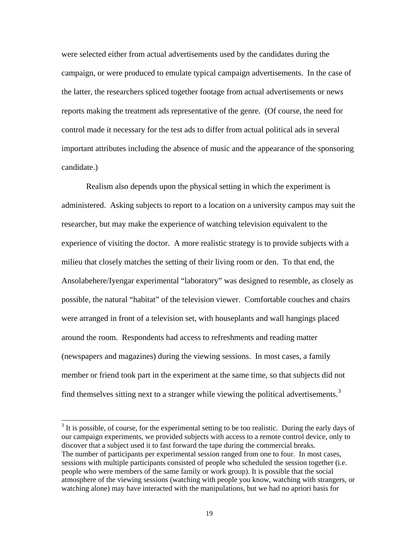were selected either from actual advertisements used by the candidates during the campaign, or were produced to emulate typical campaign advertisements. In the case of the latter, the researchers spliced together footage from actual advertisements or news reports making the treatment ads representative of the genre. (Of course, the need for control made it necessary for the test ads to differ from actual political ads in several important attributes including the absence of music and the appearance of the sponsoring candidate.)

Realism also depends upon the physical setting in which the experiment is administered. Asking subjects to report to a location on a university campus may suit the researcher, but may make the experience of watching television equivalent to the experience of visiting the doctor. A more realistic strategy is to provide subjects with a milieu that closely matches the setting of their living room or den. To that end, the Ansolabehere/Iyengar experimental "laboratory" was designed to resemble, as closely as possible, the natural "habitat" of the television viewer. Comfortable couches and chairs were arranged in front of a television set, with houseplants and wall hangings placed around the room. Respondents had access to refreshments and reading matter (newspapers and magazines) during the viewing sessions. In most cases, a family member or friend took part in the experiment at the same time, so that subjects did not find themselves sitting next to a stranger while viewing the political advertisements.<sup>[3](#page-19-0)</sup>

 $\overline{\phantom{a}}$ 

<span id="page-19-0"></span> $3$  It is possible, of course, for the experimental setting to be too realistic. During the early days of our campaign experiments, we provided subjects with access to a remote control device, only to discover that a subject used it to fast forward the tape during the commercial breaks. The number of participants per experimental session ranged from one to four. In most cases, sessions with multiple participants consisted of people who scheduled the session together (i.e. people who were members of the same family or work group). It is possible that the social atmosphere of the viewing sessions (watching with people you know, watching with strangers, or watching alone) may have interacted with the manipulations, but we had no apriori basis for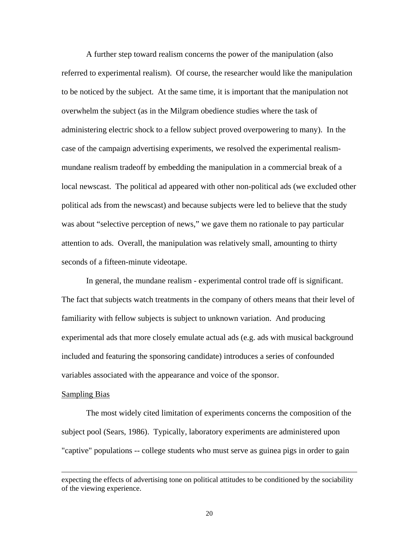A further step toward realism concerns the power of the manipulation (also referred to experimental realism). Of course, the researcher would like the manipulation to be noticed by the subject. At the same time, it is important that the manipulation not overwhelm the subject (as in the Milgram obedience studies where the task of administering electric shock to a fellow subject proved overpowering to many). In the case of the campaign advertising experiments, we resolved the experimental realismmundane realism tradeoff by embedding the manipulation in a commercial break of a local newscast. The political ad appeared with other non-political ads (we excluded other political ads from the newscast) and because subjects were led to believe that the study was about "selective perception of news," we gave them no rationale to pay particular attention to ads. Overall, the manipulation was relatively small, amounting to thirty seconds of a fifteen-minute videotape.

In general, the mundane realism - experimental control trade off is significant. The fact that subjects watch treatments in the company of others means that their level of familiarity with fellow subjects is subject to unknown variation. And producing experimental ads that more closely emulate actual ads (e.g. ads with musical background included and featuring the sponsoring candidate) introduces a series of confounded variables associated with the appearance and voice of the sponsor.

#### Sampling Bias

 $\overline{\phantom{a}}$ 

The most widely cited limitation of experiments concerns the composition of the subject pool (Sears, 1986). Typically, laboratory experiments are administered upon "captive" populations -- college students who must serve as guinea pigs in order to gain

expecting the effects of advertising tone on political attitudes to be conditioned by the sociability of the viewing experience.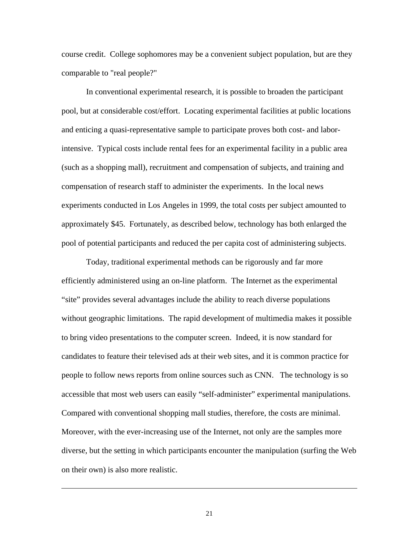course credit. College sophomores may be a convenient subject population, but are they comparable to "real people?"

In conventional experimental research, it is possible to broaden the participant pool, but at considerable cost/effort. Locating experimental facilities at public locations and enticing a quasi-representative sample to participate proves both cost- and laborintensive. Typical costs include rental fees for an experimental facility in a public area (such as a shopping mall), recruitment and compensation of subjects, and training and compensation of research staff to administer the experiments. In the local news experiments conducted in Los Angeles in 1999, the total costs per subject amounted to approximately \$45. Fortunately, as described below, technology has both enlarged the pool of potential participants and reduced the per capita cost of administering subjects.

Today, traditional experimental methods can be rigorously and far more efficiently administered using an on-line platform. The Internet as the experimental "site" provides several advantages include the ability to reach diverse populations without geographic limitations. The rapid development of multimedia makes it possible to bring video presentations to the computer screen. Indeed, it is now standard for candidates to feature their televised ads at their web sites, and it is common practice for people to follow news reports from online sources such as CNN. The technology is so accessible that most web users can easily "self-administer" experimental manipulations. Compared with conventional shopping mall studies, therefore, the costs are minimal. Moreover, with the ever-increasing use of the Internet, not only are the samples more diverse, but the setting in which participants encounter the manipulation (surfing the Web on their own) is also more realistic.

21

 $\overline{\phantom{a}}$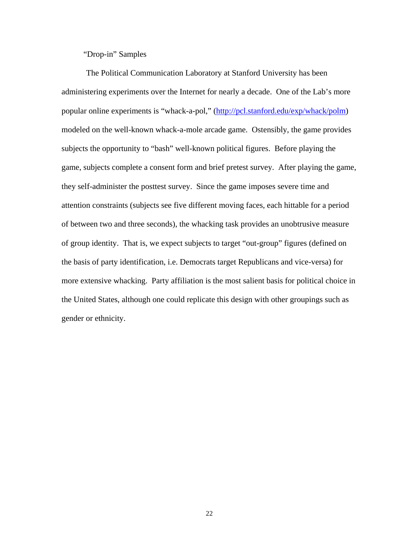"Drop-in" Samples

The Political Communication Laboratory at Stanford University has been administering experiments over the Internet for nearly a decade. One of the Lab's more popular online experiments is "whack-a-pol," [\(http://pcl.stanford.edu/exp/whack/polm](http://pcl.stanford.edu/exp/whack/polm)) modeled on the well-known whack-a-mole arcade game. Ostensibly, the game provides subjects the opportunity to "bash" well-known political figures. Before playing the game, subjects complete a consent form and brief pretest survey. After playing the game, they self-administer the posttest survey. Since the game imposes severe time and attention constraints (subjects see five different moving faces, each hittable for a period of between two and three seconds), the whacking task provides an unobtrusive measure of group identity. That is, we expect subjects to target "out-group" figures (defined on the basis of party identification, i.e. Democrats target Republicans and vice-versa) for more extensive whacking. Party affiliation is the most salient basis for political choice in the United States, although one could replicate this design with other groupings such as gender or ethnicity.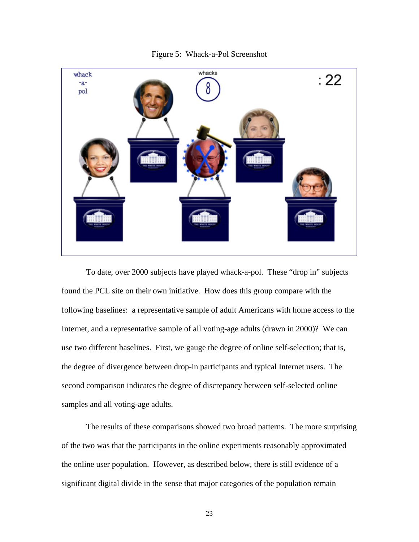



To date, over 2000 subjects have played whack-a-pol. These "drop in" subjects found the PCL site on their own initiative. How does this group compare with the following baselines: a representative sample of adult Americans with home access to the Internet, and a representative sample of all voting-age adults (drawn in 2000)? We can use two different baselines. First, we gauge the degree of online self-selection; that is, the degree of divergence between drop-in participants and typical Internet users. The second comparison indicates the degree of discrepancy between self-selected online samples and all voting-age adults.

The results of these comparisons showed two broad patterns. The more surprising of the two was that the participants in the online experiments reasonably approximated the online user population. However, as described below, there is still evidence of a significant digital divide in the sense that major categories of the population remain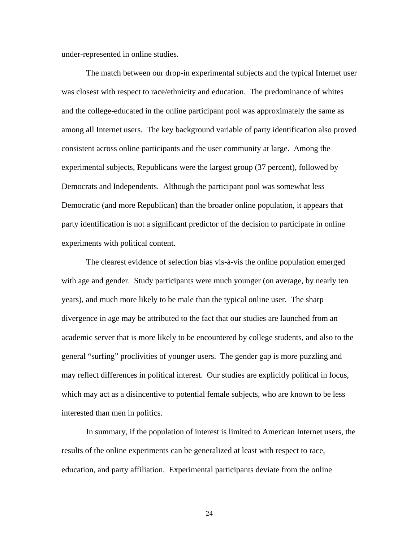under-represented in online studies.

The match between our drop-in experimental subjects and the typical Internet user was closest with respect to race/ethnicity and education. The predominance of whites and the college-educated in the online participant pool was approximately the same as among all Internet users. The key background variable of party identification also proved consistent across online participants and the user community at large. Among the experimental subjects, Republicans were the largest group (37 percent), followed by Democrats and Independents. Although the participant pool was somewhat less Democratic (and more Republican) than the broader online population, it appears that party identification is not a significant predictor of the decision to participate in online experiments with political content.

The clearest evidence of selection bias vis-à-vis the online population emerged with age and gender. Study participants were much younger (on average, by nearly ten years), and much more likely to be male than the typical online user. The sharp divergence in age may be attributed to the fact that our studies are launched from an academic server that is more likely to be encountered by college students, and also to the general "surfing" proclivities of younger users. The gender gap is more puzzling and may reflect differences in political interest. Our studies are explicitly political in focus, which may act as a disincentive to potential female subjects, who are known to be less interested than men in politics.

In summary, if the population of interest is limited to American Internet users, the results of the online experiments can be generalized at least with respect to race, education, and party affiliation. Experimental participants deviate from the online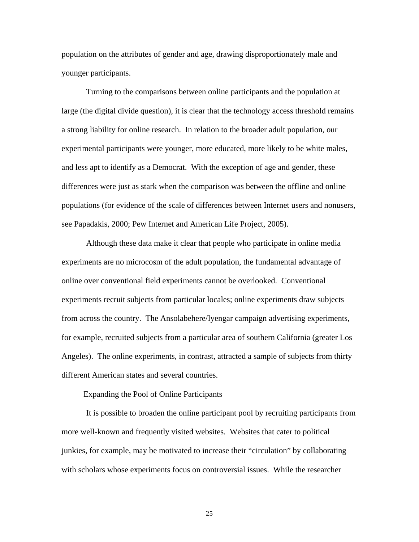population on the attributes of gender and age, drawing disproportionately male and younger participants.

Turning to the comparisons between online participants and the population at large (the digital divide question), it is clear that the technology access threshold remains a strong liability for online research. In relation to the broader adult population, our experimental participants were younger, more educated, more likely to be white males, and less apt to identify as a Democrat. With the exception of age and gender, these differences were just as stark when the comparison was between the offline and online populations (for evidence of the scale of differences between Internet users and nonusers, see Papadakis, 2000; Pew Internet and American Life Project, 2005).

Although these data make it clear that people who participate in online media experiments are no microcosm of the adult population, the fundamental advantage of online over conventional field experiments cannot be overlooked. Conventional experiments recruit subjects from particular locales; online experiments draw subjects from across the country. The Ansolabehere/Iyengar campaign advertising experiments, for example, recruited subjects from a particular area of southern California (greater Los Angeles). The online experiments, in contrast, attracted a sample of subjects from thirty different American states and several countries.

Expanding the Pool of Online Participants

It is possible to broaden the online participant pool by recruiting participants from more well-known and frequently visited websites. Websites that cater to political junkies, for example, may be motivated to increase their "circulation" by collaborating with scholars whose experiments focus on controversial issues. While the researcher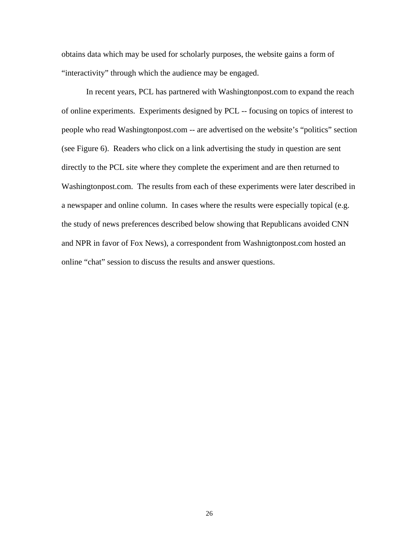obtains data which may be used for scholarly purposes, the website gains a form of "interactivity" through which the audience may be engaged.

In recent years, PCL has partnered with Washingtonpost.com to expand the reach of online experiments. Experiments designed by PCL -- focusing on topics of interest to people who read Washingtonpost.com -- are advertised on the website's "politics" section (see Figure 6). Readers who click on a link advertising the study in question are sent directly to the PCL site where they complete the experiment and are then returned to Washingtonpost.com. The results from each of these experiments were later described in a newspaper and online column. In cases where the results were especially topical (e.g. the study of news preferences described below showing that Republicans avoided CNN and NPR in favor of Fox News), a correspondent from Washnigtonpost.com hosted an online "chat" session to discuss the results and answer questions.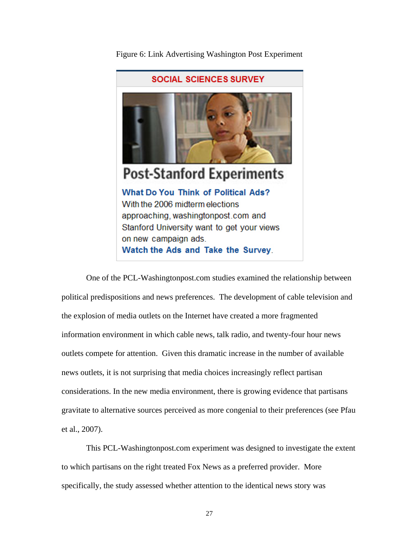

Figure 6: Link Advertising Washington Post Experiment

One of the PCL-Washingtonpost.com studies examined the relationship between political predispositions and news preferences. The development of cable television and the explosion of media outlets on the Internet have created a more fragmented information environment in which cable news, talk radio, and twenty-four hour news outlets compete for attention. Given this dramatic increase in the number of available news outlets, it is not surprising that media choices increasingly reflect partisan considerations. In the new media environment, there is growing evidence that partisans gravitate to alternative sources perceived as more congenial to their preferences (see Pfau et al., 2007).

This PCL-Washingtonpost.com experiment was designed to investigate the extent to which partisans on the right treated Fox News as a preferred provider. More specifically, the study assessed whether attention to the identical news story was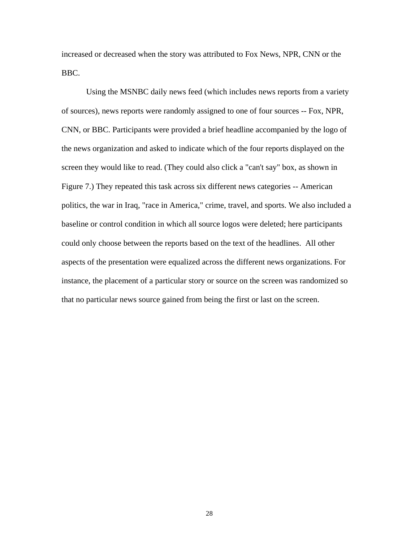increased or decreased when the story was attributed to Fox News, NPR, CNN or the BBC.

Using the MSNBC daily news feed (which includes news reports from a variety of sources), news reports were randomly assigned to one of four sources -- Fox, NPR, CNN, or BBC. Participants were provided a brief headline accompanied by the logo of the news organization and asked to indicate which of the four reports displayed on the screen they would like to read. (They could also click a "can't say" box, as shown in Figure 7.) They repeated this task across six different news categories -- American politics, the war in Iraq, "race in America," crime, travel, and sports. We also included a baseline or control condition in which all source logos were deleted; here participants could only choose between the reports based on the text of the headlines. All other aspects of the presentation were equalized across the different news organizations. For instance, the placement of a particular story or source on the screen was randomized so that no particular news source gained from being the first or last on the screen.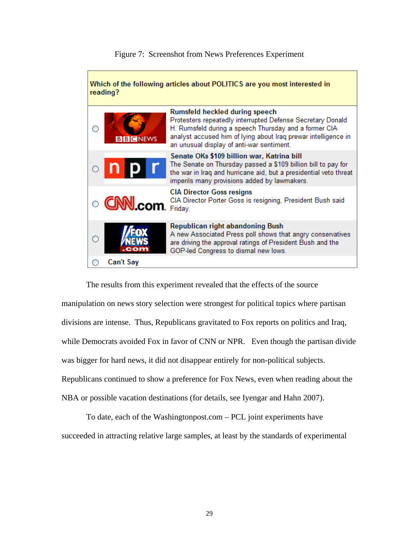# Figure 7: Screenshot from News Preferences Experiment

| Which of the following articles about POLITICS are you most interested in<br>reading? |                          |                                                                                                                                                                                                                                                                      |
|---------------------------------------------------------------------------------------|--------------------------|----------------------------------------------------------------------------------------------------------------------------------------------------------------------------------------------------------------------------------------------------------------------|
|                                                                                       | <b>BIGNEWS</b>           | Rumsfeld heckled during speech<br>Protesters repeatedly interrupted Defense Secretary Donald<br>H. Rumsfeld during a speech Thursday and a former CIA<br>analyst accused him of lying about Iraq prewar intelligence in<br>an unusual display of anti-war sentiment. |
|                                                                                       |                          | Senate OKs \$109 billion war, Katrina bill<br>The Senate on Thursday passed a \$109 billion bill to pay for<br>the war in Iraq and hurricane aid, but a presidential veto threat<br>imperils many provisions added by lawmakers.                                     |
|                                                                                       | <b>CANL.com.</b> CIA DIR | <b>CIA Director Goss resigns</b><br>CIA Director Porter Goss is resigning, President Bush said                                                                                                                                                                       |
|                                                                                       |                          | Republican right abandoning Bush<br>A new Associated Press poll shows that angry conservatives<br>are driving the approval ratings of President Bush and the<br>GOP-led Congress to dismal new lows.                                                                 |
|                                                                                       | Can't Say                |                                                                                                                                                                                                                                                                      |

The results from this experiment revealed that the effects of the source manipulation on news story selection were strongest for political topics where partisan divisions are intense. Thus, Republicans gravitated to Fox reports on politics and Iraq, while Democrats avoided Fox in favor of CNN or NPR. Even though the partisan divide was bigger for hard news, it did not disappear entirely for non-political subjects. Republicans continued to show a preference for Fox News, even when reading about the NBA or possible vacation destinations (for details, see Iyengar and Hahn 2007).

To date, each of the Washingtonpost.com – PCL joint experiments have succeeded in attracting relative large samples, at least by the standards of experimental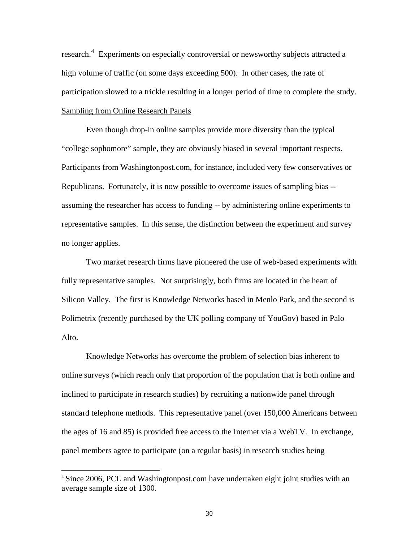research.<sup>[4](#page-30-0)</sup> Experiments on especially controversial or newsworthy subjects attracted a high volume of traffic (on some days exceeding 500). In other cases, the rate of participation slowed to a trickle resulting in a longer period of time to complete the study. Sampling from Online Research Panels

Even though drop-in online samples provide more diversity than the typical "college sophomore" sample, they are obviously biased in several important respects. Participants from Washingtonpost.com, for instance, included very few conservatives or Republicans. Fortunately, it is now possible to overcome issues of sampling bias - assuming the researcher has access to funding -- by administering online experiments to representative samples. In this sense, the distinction between the experiment and survey no longer applies.

Two market research firms have pioneered the use of web-based experiments with fully representative samples. Not surprisingly, both firms are located in the heart of Silicon Valley. The first is Knowledge Networks based in Menlo Park, and the second is Polimetrix (recently purchased by the UK polling company of YouGov) based in Palo Alto.

Knowledge Networks has overcome the problem of selection bias inherent to online surveys (which reach only that proportion of the population that is both online and inclined to participate in research studies) by recruiting a nationwide panel through standard telephone methods. This representative panel (over 150,000 Americans between the ages of 16 and 85) is provided free access to the Internet via a WebTV. In exchange, panel members agree to participate (on a regular basis) in research studies being

 $\overline{\phantom{a}}$ 

<span id="page-30-0"></span><sup>4</sup> Since 2006, PCL and Washingtonpost.com have undertaken eight joint studies with an average sample size of 1300.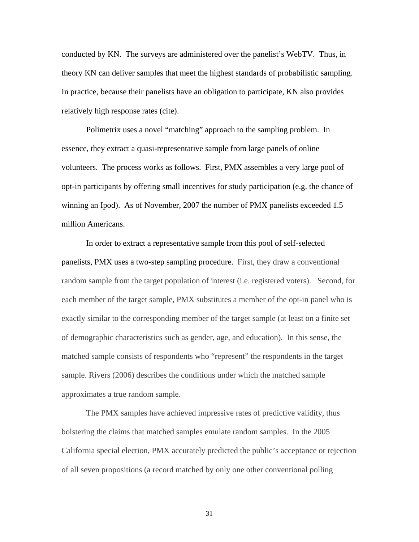conducted by KN. The surveys are administered over the panelist's WebTV. Thus, in theory KN can deliver samples that meet the highest standards of probabilistic sampling. In practice, because their panelists have an obligation to participate, KN also provides relatively high response rates (cite).

Polimetrix uses a novel "matching" approach to the sampling problem. In essence, they extract a quasi-representative sample from large panels of online volunteers. The process works as follows. First, PMX assembles a very large pool of opt-in participants by offering small incentives for study participation (e.g. the chance of winning an Ipod). As of November, 2007 the number of PMX panelists exceeded 1.5 million Americans.

In order to extract a representative sample from this pool of self-selected panelists, PMX uses a two-step sampling procedure. First, they draw a conventional random sample from the target population of interest (i.e. registered voters). Second, for each member of the target sample, PMX substitutes a member of the opt-in panel who is exactly similar to the corresponding member of the target sample (at least on a finite set of demographic characteristics such as gender, age, and education). In this sense, the matched sample consists of respondents who "represent" the respondents in the target sample. Rivers (2006) describes the conditions under which the matched sample approximates a true random sample.

The PMX samples have achieved impressive rates of predictive validity, thus bolstering the claims that matched samples emulate random samples. In the 2005 California special election, PMX accurately predicted the public's acceptance or rejection of all seven propositions (a record matched by only one other conventional polling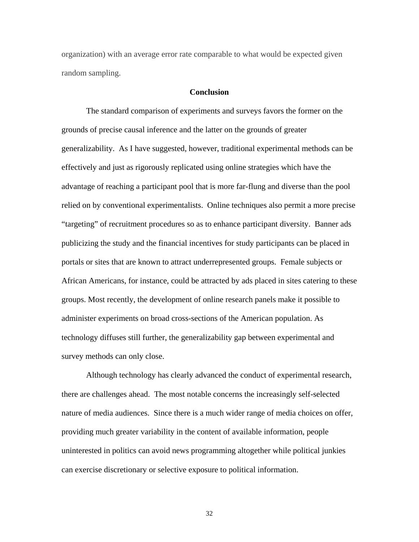organization) with an average error rate comparable to what would be expected given random sampling.

## **Conclusion**

The standard comparison of experiments and surveys favors the former on the grounds of precise causal inference and the latter on the grounds of greater generalizability. As I have suggested, however, traditional experimental methods can be effectively and just as rigorously replicated using online strategies which have the advantage of reaching a participant pool that is more far-flung and diverse than the pool relied on by conventional experimentalists. Online techniques also permit a more precise "targeting" of recruitment procedures so as to enhance participant diversity. Banner ads publicizing the study and the financial incentives for study participants can be placed in portals or sites that are known to attract underrepresented groups. Female subjects or African Americans, for instance, could be attracted by ads placed in sites catering to these groups. Most recently, the development of online research panels make it possible to administer experiments on broad cross-sections of the American population. As technology diffuses still further, the generalizability gap between experimental and survey methods can only close.

Although technology has clearly advanced the conduct of experimental research, there are challenges ahead. The most notable concerns the increasingly self-selected nature of media audiences. Since there is a much wider range of media choices on offer, providing much greater variability in the content of available information, people uninterested in politics can avoid news programming altogether while political junkies can exercise discretionary or selective exposure to political information.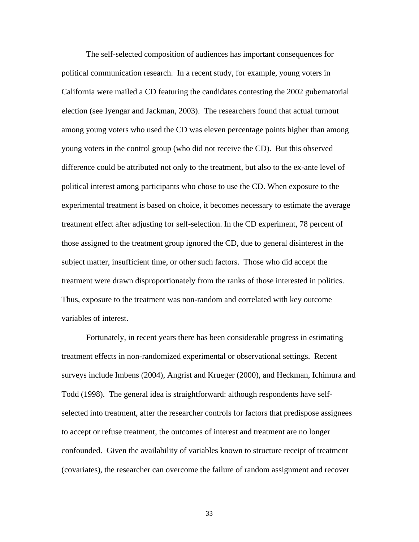The self-selected composition of audiences has important consequences for political communication research. In a recent study, for example, young voters in California were mailed a CD featuring the candidates contesting the 2002 gubernatorial election (see Iyengar and Jackman, 2003). The researchers found that actual turnout among young voters who used the CD was eleven percentage points higher than among young voters in the control group (who did not receive the CD). But this observed difference could be attributed not only to the treatment, but also to the ex-ante level of political interest among participants who chose to use the CD. When exposure to the experimental treatment is based on choice, it becomes necessary to estimate the average treatment effect after adjusting for self-selection. In the CD experiment, 78 percent of those assigned to the treatment group ignored the CD, due to general disinterest in the subject matter, insufficient time, or other such factors. Those who did accept the treatment were drawn disproportionately from the ranks of those interested in politics. Thus, exposure to the treatment was non-random and correlated with key outcome variables of interest.

Fortunately, in recent years there has been considerable progress in estimating treatment effects in non-randomized experimental or observational settings. Recent surveys include Imbens (2004), Angrist and Krueger (2000), and Heckman, Ichimura and Todd (1998). The general idea is straightforward: although respondents have selfselected into treatment, after the researcher controls for factors that predispose assignees to accept or refuse treatment, the outcomes of interest and treatment are no longer confounded. Given the availability of variables known to structure receipt of treatment (covariates), the researcher can overcome the failure of random assignment and recover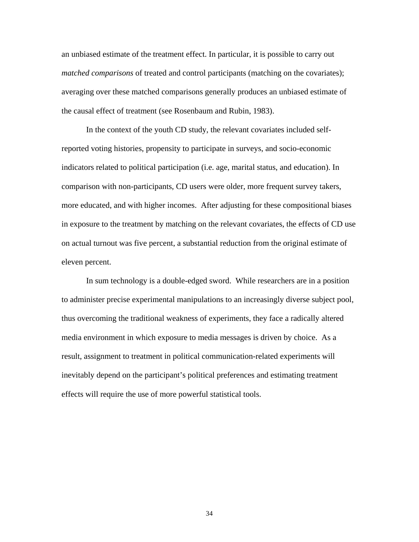an unbiased estimate of the treatment effect. In particular, it is possible to carry out *matched comparisons* of treated and control participants (matching on the covariates); averaging over these matched comparisons generally produces an unbiased estimate of the causal effect of treatment (see Rosenbaum and Rubin, 1983).

In the context of the youth CD study, the relevant covariates included selfreported voting histories, propensity to participate in surveys, and socio-economic indicators related to political participation (i.e. age, marital status, and education). In comparison with non-participants, CD users were older, more frequent survey takers, more educated, and with higher incomes. After adjusting for these compositional biases in exposure to the treatment by matching on the relevant covariates, the effects of CD use on actual turnout was five percent, a substantial reduction from the original estimate of eleven percent.

In sum technology is a double-edged sword. While researchers are in a position to administer precise experimental manipulations to an increasingly diverse subject pool, thus overcoming the traditional weakness of experiments, they face a radically altered media environment in which exposure to media messages is driven by choice. As a result, assignment to treatment in political communication-related experiments will inevitably depend on the participant's political preferences and estimating treatment effects will require the use of more powerful statistical tools.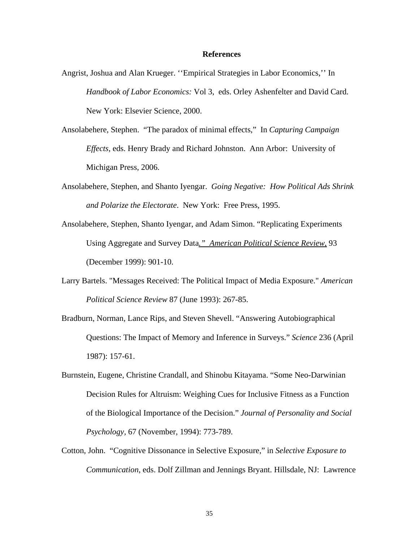### **References**

- Angrist, Joshua and Alan Krueger. ''Empirical Strategies in Labor Economics,'' In *Handbook of Labor Economics:* Vol 3, eds. Orley Ashenfelter and David Card. New York: Elsevier Science, 2000.
- Ansolabehere, Stephen. "The paradox of minimal effects," In *Capturing Campaign Effects*, eds. Henry Brady and Richard Johnston. Ann Arbor: University of Michigan Press, 2006.
- Ansolabehere, Stephen, and Shanto Iyengar. *Going Negative: How Political Ads Shrink and Polarize the Electorate*. New York: Free Press, 1995.
- Ansolabehere, Stephen, Shanto Iyengar, and Adam Simon. "Replicating Experiments Using Aggregate and Survey Data*." American Political Science Review*, 93 (December 1999): 901-10.
- Larry Bartels. "Messages Received: The Political Impact of Media Exposure." *American Political Science Review* 87 (June 1993): 267-85.
- Bradburn, Norman, Lance Rips, and Steven Shevell. "Answering Autobiographical Questions: The Impact of Memory and Inference in Surveys." *Science* 236 (April 1987): 157-61.
- Burnstein, Eugene, Christine Crandall, and Shinobu Kitayama. "Some Neo-Darwinian Decision Rules for Altruism: Weighing Cues for Inclusive Fitness as a Function of the Biological Importance of the Decision." *Journal of Personality and Social Psychology,* 67 (November, 1994): 773-789.
- Cotton, John. "Cognitive Dissonance in Selective Exposure," in *Selective Exposure to Communication*, eds. Dolf Zillman and Jennings Bryant. Hillsdale, NJ: Lawrence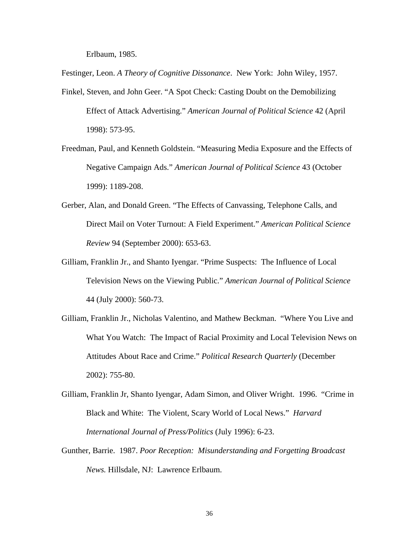Erlbaum, 1985.

Festinger, Leon. *A Theory of Cognitive Dissonance*. New York: John Wiley, 1957.

- Finkel, Steven, and John Geer. "A Spot Check: Casting Doubt on the Demobilizing Effect of Attack Advertising." *American Journal of Political Science* 42 (April 1998): 573-95.
- Freedman, Paul, and Kenneth Goldstein. "Measuring Media Exposure and the Effects of Negative Campaign Ads." *American Journal of Political Science* 43 (October 1999): 1189-208.
- Gerber, Alan, and Donald Green. "The Effects of Canvassing, Telephone Calls, and Direct Mail on Voter Turnout: A Field Experiment." *American Political Science Review* 94 (September 2000): 653-63.
- Gilliam, Franklin Jr., and Shanto Iyengar. "Prime Suspects: The Influence of Local Television News on the Viewing Public." *American Journal of Political Science* 44 (July 2000): 560-73.
- Gilliam, Franklin Jr., Nicholas Valentino, and Mathew Beckman. "Where You Live and What You Watch: The Impact of Racial Proximity and Local Television News on Attitudes About Race and Crime." *Political Research Quarterly* (December 2002): 755-80.
- Gilliam, Franklin Jr, Shanto Iyengar, Adam Simon, and Oliver Wright. 1996. "Crime in Black and White: The Violent, Scary World of Local News." *Harvard International Journal of Press/Politics* (July 1996): 6-23.
- Gunther, Barrie. 1987. *Poor Reception: Misunderstanding and Forgetting Broadcast News.* Hillsdale, NJ: Lawrence Erlbaum.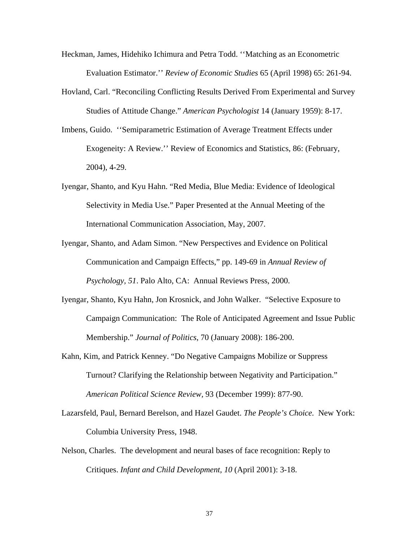- Heckman, James, Hidehiko Ichimura and Petra Todd. ''Matching as an Econometric Evaluation Estimator.'' *Review of Economic Studies* 65 (April 1998) 65: 261-94.
- Hovland, Carl. "Reconciling Conflicting Results Derived From Experimental and Survey Studies of Attitude Change." *American Psychologist* 14 (January 1959): 8-17.
- Imbens, Guido. ''Semiparametric Estimation of Average Treatment Effects under Exogeneity: A Review.'' Review of Economics and Statistics, 86: (February, 2004), 4-29.
- Iyengar, Shanto, and Kyu Hahn. "Red Media, Blue Media: Evidence of Ideological Selectivity in Media Use." Paper Presented at the Annual Meeting of the International Communication Association, May, 2007.
- Iyengar, Shanto, and Adam Simon. "New Perspectives and Evidence on Political Communication and Campaign Effects," pp. 149-69 in *Annual Review of Psychology, 51*. Palo Alto, CA: Annual Reviews Press, 2000.
- Iyengar, Shanto, Kyu Hahn, Jon Krosnick, and John Walker. "Selective Exposure to Campaign Communication: The Role of Anticipated Agreement and Issue Public Membership." *Journal of Politics*, 70 (January 2008): 186-200.
- Kahn, Kim, and Patrick Kenney. "Do Negative Campaigns Mobilize or Suppress Turnout? Clarifying the Relationship between Negativity and Participation." *American Political Science Review,* 93 (December 1999): 877-90.
- Lazarsfeld, Paul, Bernard Berelson, and Hazel Gaudet. *The People's Choice.* New York: Columbia University Press, 1948.
- Nelson, Charles. The development and neural bases of face recognition: Reply to Critiques. *Infant and Child Development, 10* (April 2001): 3-18.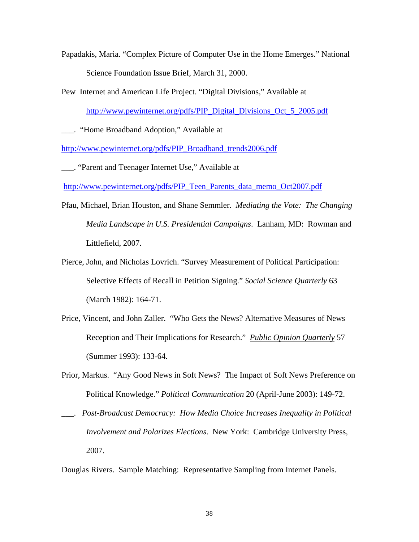- Papadakis, Maria. "Complex Picture of Computer Use in the Home Emerges." National Science Foundation Issue Brief, March 31, 2000.
- Pew Internet and American Life Project. "Digital Divisions," Available at

[http://www.pewinternet.org/pdfs/PIP\\_Digital\\_Divisions\\_Oct\\_5\\_2005.pdf](http://www.pewinternet.org/pdfs/PIP_Digital_Divisions_Oct_5_2005.pdf)

\_\_\_. "Home Broadband Adoption," Available at

[http://www.pewinternet.org/pdfs/PIP\\_Broadband\\_trends2006.pdf](http://www.pewinternet.org/pdfs/PIP_Broadband_trends2006.pdf)

\_\_\_. "Parent and Teenager Internet Use," Available at

[http://www.pewinternet.org/pdfs/PIP\\_Teen\\_Parents\\_data\\_memo\\_Oct2007.pdf](http://www.pewinternet.org/pdfs/PIP_Teen_Parents_data_memo_Oct2007.pdf)

- Pfau, Michael, Brian Houston, and Shane Semmler. *Mediating the Vote: The Changing Media Landscape in U.S. Presidential Campaigns*. Lanham, MD: Rowman and Littlefield, 2007.
- Pierce, John, and Nicholas Lovrich. "Survey Measurement of Political Participation: Selective Effects of Recall in Petition Signing." *Social Science Quarterly* 63 (March 1982): 164-71.
- Price, Vincent, and John Zaller. "Who Gets the News? Alternative Measures of News Reception and Their Implications for Research." *Public Opinion Quarterly* 57 (Summer 1993): 133-64.
- Prior, Markus. "Any Good News in Soft News? The Impact of Soft News Preference on Political Knowledge." *Political Communication* 20 (April-June 2003): 149-72.
- \_\_\_. *Post-Broadcast Democracy: How Media Choice Increases Inequality in Political Involvement and Polarizes Elections*. New York: Cambridge University Press, 2007.

Douglas Rivers. Sample Matching: Representative Sampling from Internet Panels.